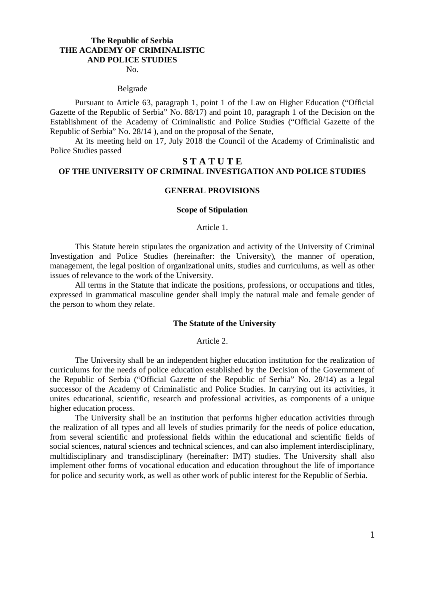### **The Republic of Serbia THE ACADEMY OF CRIMINALISTIC AND POLICE STUDIES**

No.

#### Belgrade

Pursuant to Article 63, paragraph 1, point 1 of the Law on Higher Education ("Official Gazette of the Republic of Serbia" No. 88/17) and point 10, paragraph 1 of the Decision on the Establishment of the Academy of Criminalistic and Police Studies ("Official Gazette of the Republic of Serbia" No. 28/14 ), and on the proposal of the Senate,

At its meeting held on 17, July 2018 the Council of the Academy of Criminalistic and Police Studies passed

# **S T A T U T E OF THE UNIVERSITY OF CRIMINAL INVESTIGATION AND POLICE STUDIES**

### **GENERAL PROVISIONS**

### **Scope of Stipulation**

### Article 1.

This Statute herein stipulates the organization and activity of the University of Criminal Investigation and Police Studies (hereinafter: the University), the manner of operation, management, the legal position of organizational units, studies and curriculums, as well as other issues of relevance to the work of the University.

All terms in the Statute that indicate the positions, professions, or occupations and titles, expressed in grammatical masculine gender shall imply the natural male and female gender of the person to whom they relate.

## **The Statute of the University**

Article 2.

The University shall be an independent higher education institution for the realization of curriculums for the needs of police education established by the Decision of the Government of the Republic of Serbia ("Official Gazette of the Republic of Serbia" No. 28/14) as a legal successor of the Academy of Criminalistic and Police Studies. In carrying out its activities, it unites educational, scientific, research and professional activities, as components of a unique higher education process.

The University shall be an institution that performs higher education activities through the realization of all types and all levels of studies primarily for the needs of police education, from several scientific and professional fields within the educational and scientific fields of social sciences, natural sciences and technical sciences, and can also implement interdisciplinary, multidisciplinary and transdisciplinary (hereinafter: IMT) studies. The University shall also implement other forms of vocational education and education throughout the life of importance for police and security work, as well as other work of public interest for the Republic of Serbia.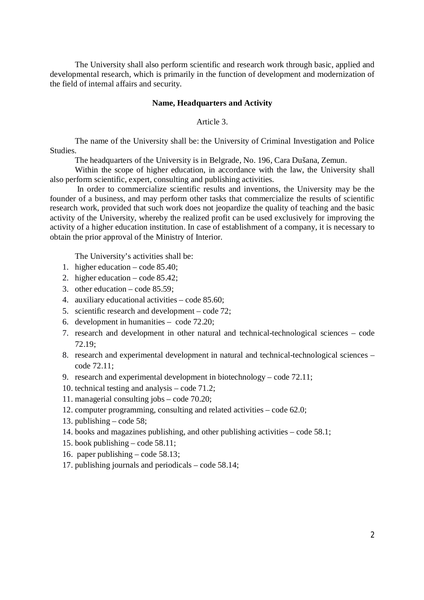The University shall also perform scientific and research work through basic, applied and developmental research, which is primarily in the function of development and modernization of the field of internal affairs and security.

### **Name, Headquarters and Activity**

Article 3.

The name of the University shall be: the University of Criminal Investigation and Police Studies.

The headquarters of the University is in Belgrade, No. 196, Cara Dušana, Zemun.

Within the scope of higher education, in accordance with the law, the University shall also perform scientific, expert, consulting and publishing activities.

In order to commercialize scientific results and inventions, the University may be the founder of a business, and may perform other tasks that commercialize the results of scientific research work, provided that such work does not jeopardize the quality of teaching and the basic activity of the University, whereby the realized profit can be used exclusively for improving the activity of a higher education institution. In case of establishment of a company, it is necessary to obtain the prior approval of the Ministry of Interior.

The University's activities shall be:

- 1. higher education code 85.40;
- 2. higher education code 85.42;
- 3. other education code 85.59;
- 4. auxiliary educational activities code 85.60;
- 5. scientific research and development code 72;
- 6. development in humanities code 72.20;
- 7. research and development in other natural and technical-technological sciences code 72.19;
- 8. research and experimental development in natural and technical-technological sciences code 72.11;
- 9. research and experimental development in biotechnology code 72.11;
- 10. technical testing and analysis code 71.2;
- 11. managerial consulting jobs code 70.20;
- 12. computer programming, consulting and related activities code 62.0;
- 13. publishing code 58;
- 14. books and magazines publishing, and other publishing activities code 58.1;
- 15. book publishing code 58.11;
- 16. paper publishing code 58.13;
- 17. publishing journals and periodicals code 58.14;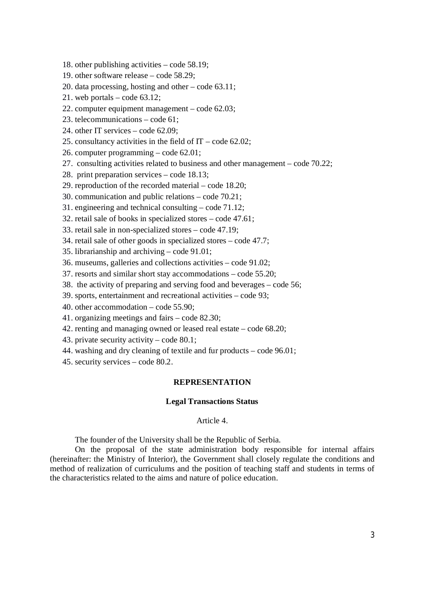- 18. other publishing activities code 58.19;
- 19. other software release code 58.29;
- 20. data processing, hosting and other code 63.11;
- 21. web portals code 63.12;
- 22. computer equipment management code 62.03;
- 23. telecommunications code 61;
- 24. other IT services code 62.09;
- 25. consultancy activities in the field of  $IT code 62.02$ ;
- 26. computer programming code 62.01;
- 27. consulting activities related to business and other management code 70.22;
- 28. print preparation services code 18.13;
- 29. reproduction of the recorded material code 18.20;
- 30. communication and public relations code 70.21;
- 31. engineering and technical consulting code 71.12;
- 32. retail sale of books in specialized stores code 47.61;
- 33. retail sale in non-specialized stores code 47.19;
- 34. retail sale of other goods in specialized stores code 47.7;
- 35. librarianship and archiving code 91.01;
- 36. museums, galleries and collections activities code 91.02;
- 37. resorts and similar short stay accommodations code 55.20;
- 38. the activity of preparing and serving food and beverages code 56;
- 39. sports, entertainment and recreational activities code 93;
- 40. other accommodation code 55.90;
- 41. organizing meetings and fairs code 82.30;
- 42. renting and managing owned or leased real estate code 68.20;
- 43. private security activity code 80.1;
- 44. washing and dry cleaning of textile and fur products code 96.01;
- 45. security services code 80.2.

## **REPRESENTATION**

### **Legal Transactions Status**

## Article 4.

The founder of the University shall be the Republic of Serbia.

On the proposal of the state administration body responsible for internal affairs (hereinafter: the Ministry of Interior), the Government shall closely regulate the conditions and method of realization of curriculums and the position of teaching staff and students in terms of the characteristics related to the aims and nature of police education.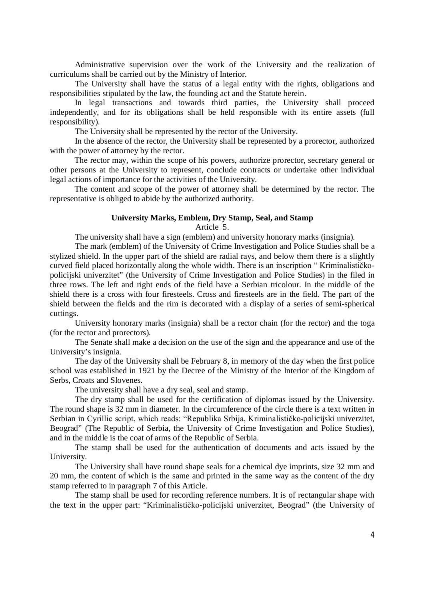Administrative supervision over the work of the University and the realization of curriculums shall be carried out by the Ministry of Interior.

The University shall have the status of a legal entity with the rights, obligations and responsibilities stipulated by the law, the founding act and the Statute herein.

In legal transactions and towards third parties, the University shall proceed independently, and for its obligations shall be held responsible with its entire assets (full responsibility).

The University shall be represented by the rector of the University.

In the absence of the rector, the University shall be represented by a prorector, authorized with the power of attorney by the rector.

The rector may, within the scope of his powers, authorize prorector, secretary general or other persons at the University to represent, conclude contracts or undertake other individual legal actions of importance for the activities of the University.

The content and scope of the power of attorney shall be determined by the rector. The representative is obliged to abide by the authorized authority.

## **University Marks, Emblem, Dry Stamp, Seal, and Stamp**

Article 5.

The university shall have a sign (emblem) and university honorary marks (insignia).

The mark (emblem) of the University of Crime Investigation and Police Studies shall be a stylized shield. In the upper part of the shield are radial rays, and below them there is a slightly curved field placed horizontally along the whole width. There is an inscription " Kriminalističkopolicijski univerzitet" (the University of Crime Investigation and Police Studies) in the filed in three rows. The left and right ends of the field have a Serbian tricolour. In the middle of the shield there is a cross with four firesteels. Cross and firesteels are in the field. The part of the shield between the fields and the rim is decorated with a display of a series of semi-spherical cuttings.

University honorary marks (insignia) shall be a rector chain (for the rector) and the toga (for the rector and prorectors).

The Senate shall make a decision on the use of the sign and the appearance and use of the University's insignia.

The day of the University shall be February 8, in memory of the day when the first police school was established in 1921 by the Decree of the Ministry of the Interior of the Kingdom of Serbs, Croats and Slovenes.

The university shall have a dry seal, seal and stamp.

The dry stamp shall be used for the certification of diplomas issued by the University. The round shape is 32 mm in diameter. In the circumference of the circle there is a text written in Serbian in Cyrillic script, which reads: "Republika Srbija, Kriminalističko-policijski univerzitet, Beograd" (The Republic of Serbia, the University of Crime Investigation and Police Studies), and in the middle is the coat of arms of the Republic of Serbia.

The stamp shall be used for the authentication of documents and acts issued by the University.

The University shall have round shape seals for a chemical dye imprints, size 32 mm and 20 mm, the content of which is the same and printed in the same way as the content of the dry stamp referred to in paragraph 7 of this Article.

The stamp shall be used for recording reference numbers. It is of rectangular shape with the text in the upper part: "Kriminalističko-policijski univerzitet, Beograd" (the University of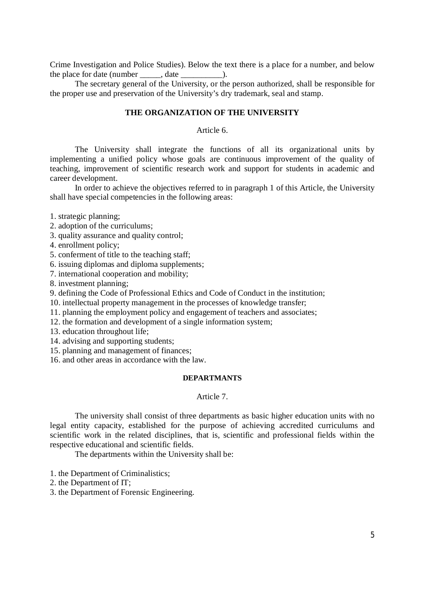Crime Investigation and Police Studies). Below the text there is a place for a number, and below the place for date (number ).

The secretary general of the University, or the person authorized, shall be responsible for the proper use and preservation of the University's dry trademark, seal and stamp.

## **THE ORGANIZATION OF THE UNIVERSITY**

Article 6.

The University shall integrate the functions of all its organizational units by implementing a unified policy whose goals are continuous improvement of the quality of teaching, improvement of scientific research work and support for students in academic and career development.

In order to achieve the objectives referred to in paragraph 1 of this Article, the University shall have special competencies in the following areas:

1. strategic planning;

- 2. adoption of the curriculums;
- 3. quality assurance and quality control;

4. enrollment policy;

5. conferment of title to the teaching staff;

6. issuing diplomas and diploma supplements;

7. international cooperation and mobility;

8. investment planning;

9. defining the Code of Professional Ethics and Code of Conduct in the institution;

10. intellectual property management in the processes of knowledge transfer;

- 11. planning the employment policy and engagement of teachers and associates;
- 12. the formation and development of a single information system;
- 13. education throughout life;

14. advising and supporting students;

15. planning and management of finances;

16. and other areas in accordance with the law.

## **DEPARTMANTS**

## Article 7.

The university shall consist of three departments as basic higher education units with no legal entity capacity, established for the purpose of achieving accredited curriculums and scientific work in the related disciplines, that is, scientific and professional fields within the respective educational and scientific fields.

The departments within the University shall be:

1. the Department of Criminalistics;

2. the Department of IT;

3. the Department of Forensic Engineering.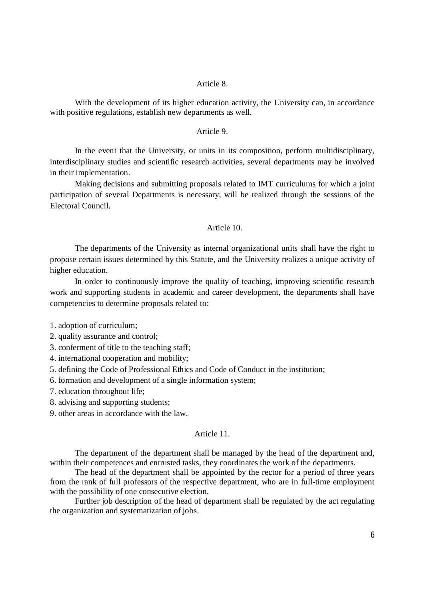## Article 8.

With the development of its higher education activity, the University can, in accordance with positive regulations, establish new departments as well.

# Article 9.

In the event that the University, or units in its composition, perform multidisciplinary, interdisciplinary studies and scientific research activities, several departments may be involved in their implementation.

Making decisions and submitting proposals related to IMT curriculums for which a joint participation of several Departments is necessary, will be realized through the sessions of the Electoral Council.

## Article 10.

The departments of the University as internal organizational units shall have the right to propose certain issues determined by this Statute, and the University realizes a unique activity of higher education.

In order to continuously improve the quality of teaching, improving scientific research work and supporting students in academic and career development, the departments shall have competencies to determine proposals related to:

1. adoption of curriculum;

2. quality assurance and control;

3. conferment of title to the teaching staff;

4. international cooperation and mobility;

5. defining the Code of Professional Ethics and Code of Conduct in the institution;

6. formation and development of a single information system;

7. education throughout life;

8. advising and supporting students;

9. other areas in accordance with the law.

## Article 11.

The department of the department shall be managed by the head of the department and, within their competences and entrusted tasks, they coordinates the work of the departments.

The head of the department shall be appointed by the rector for a period of three years from the rank of full professors of the respective department, who are in full-time employment with the possibility of one consecutive election.

Further job description of the head of department shall be regulated by the act regulating the organization and systematization of jobs.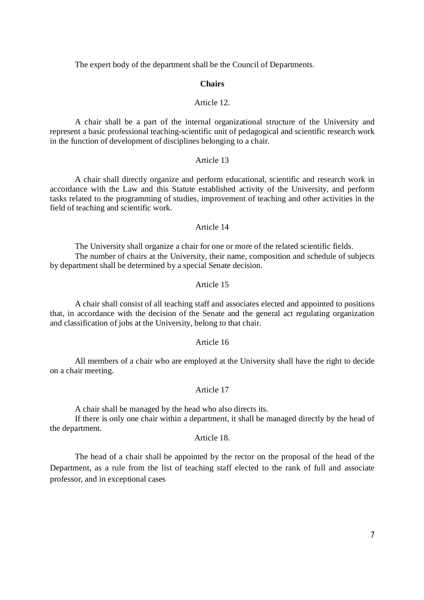The expert body of the department shall be the Council of Departments.

### **Chairs**

### Article 12.

A chair shall be a part of the internal organizational structure of the University and represent a basic professional teaching-scientific unit of pedagogical and scientific research work in the function of development of disciplines belonging to a chair.

## Article 13

A chair shall directly organize and perform educational, scientific and research work in accordance with the Law and this Statute established activity of the University, and perform tasks related to the programming of studies, improvement of teaching and other activities in the field of teaching and scientific work.

### Article 14

The University shall organize a chair for one or more of the related scientific fields. The number of chairs at the University, their name, composition and schedule of subjects by department shall be determined by a special Senate decision.

## Article 15

A chair shall consist of all teaching staff and associates elected and appointed to positions that, in accordance with the decision of the Senate and the general act regulating organization and classification of jobs at the University, belong to that chair.

### Article 16

All members of a chair who are employed at the University shall have the right to decide on a chair meeting.

## Article 17

A chair shall be managed by the head who also directs its.

If there is only one chair within a department, it shall be managed directly by the head of the department.

## Article 18.

The head of a chair shall be appointed by the rector on the proposal of the head of the Department, as a rule from the list of teaching staff elected to the rank of full and associate professor, and in exceptional cases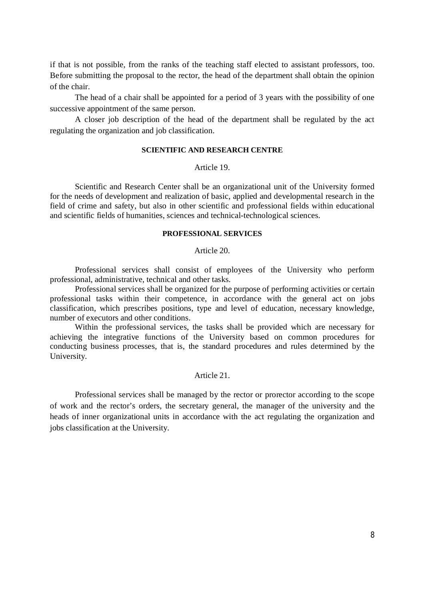if that is not possible, from the ranks of the teaching staff elected to assistant professors, too. Before submitting the proposal to the rector, the head of the department shall obtain the opinion of the chair.

The head of a chair shall be appointed for a period of 3 years with the possibility of one successive appointment of the same person.

A closer job description of the head of the department shall be regulated by the act regulating the organization and job classification.

### **SCIENTIFIC AND RESEARCH CENTRE**

### Article 19.

Scientific and Research Center shall be an organizational unit of the University formed for the needs of development and realization of basic, applied and developmental research in the field of crime and safety, but also in other scientific and professional fields within educational and scientific fields of humanities, sciences and technical-technological sciences.

### **PROFESSIONAL SERVICES**

### Article 20.

Professional services shall consist of employees of the University who perform professional, administrative, technical and other tasks.

Professional services shall be organized for the purpose of performing activities or certain professional tasks within their competence, in accordance with the general act on jobs classification, which prescribes positions, type and level of education, necessary knowledge, number of executors and other conditions.

Within the professional services, the tasks shall be provided which are necessary for achieving the integrative functions of the University based on common procedures for conducting business processes, that is, the standard procedures and rules determined by the University.

### Article 21.

Professional services shall be managed by the rector or prorector according to the scope of work and the rector's orders, the secretary general, the manager of the university and the heads of inner organizational units in accordance with the act regulating the organization and jobs classification at the University.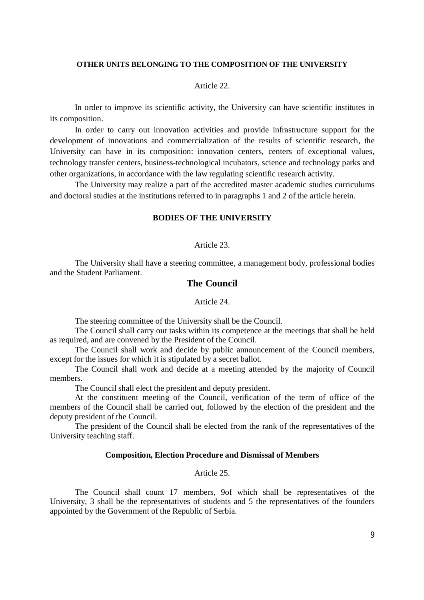#### **OTHER UNITS BELONGING TO THE COMPOSITION OF THE UNIVERSITY**

### Article 22.

In order to improve its scientific activity, the University can have scientific institutes in its composition.

In order to carry out innovation activities and provide infrastructure support for the development of innovations and commercialization of the results of scientific research, the University can have in its composition: innovation centers, centers of exceptional values, technology transfer centers, business-technological incubators, science and technology parks and other organizations, in accordance with the law regulating scientific research activity.

The University may realize a part of the accredited master academic studies curriculums and doctoral studies at the institutions referred to in paragraphs 1 and 2 of the article herein.

## **BODIES OF THE UNIVERSITY**

### Article 23.

The University shall have a steering committee, a management body, professional bodies and the Student Parliament.

## **The Council**

## Article 24.

The steering committee of the University shall be the Council.

The Council shall carry out tasks within its competence at the meetings that shall be held as required, and are convened by the President of the Council.

The Council shall work and decide by public announcement of the Council members, except for the issues for which it is stipulated by a secret ballot.

The Council shall work and decide at a meeting attended by the majority of Council members.

The Council shall elect the president and deputy president.

At the constituent meeting of the Council, verification of the term of office of the members of the Council shall be carried out, followed by the election of the president and the deputy president of the Council.

The president of the Council shall be elected from the rank of the representatives of the University teaching staff.

### **Composition, Election Procedure and Dismissal of Members**

## Article 25.

The Council shall count 17 members, 9of which shall be representatives of the University, 3 shall be the representatives of students and 5 the representatives of the founders appointed by the Government of the Republic of Serbia.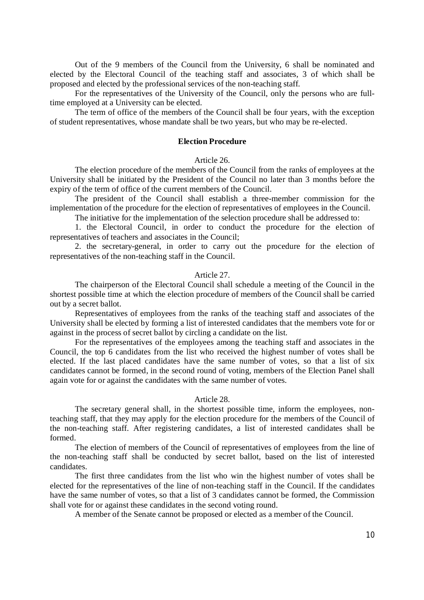Out of the 9 members of the Council from the University, 6 shall be nominated and elected by the Electoral Council of the teaching staff and associates, 3 of which shall be proposed and elected by the professional services of the non-teaching staff.

For the representatives of the University of the Council, only the persons who are fulltime employed at a University can be elected.

The term of office of the members of the Council shall be four years, with the exception of student representatives, whose mandate shall be two years, but who may be re-elected.

### **Election Procedure**

### Article 26.

The election procedure of the members of the Council from the ranks of employees at the University shall be initiated by the President of the Council no later than 3 months before the expiry of the term of office of the current members of the Council.

The president of the Council shall establish a three-member commission for the implementation of the procedure for the election of representatives of employees in the Council.

The initiative for the implementation of the selection procedure shall be addressed to:

1. the Electoral Council, in order to conduct the procedure for the election of representatives of teachers and associates in the Council;

2. the secretary-general, in order to carry out the procedure for the election of representatives of the non-teaching staff in the Council.

### Article 27.

The chairperson of the Electoral Council shall schedule a meeting of the Council in the shortest possible time at which the election procedure of members of the Council shall be carried out by a secret ballot.

Representatives of employees from the ranks of the teaching staff and associates of the University shall be elected by forming a list of interested candidates that the members vote for or against in the process of secret ballot by circling a candidate on the list.

For the representatives of the employees among the teaching staff and associates in the Council, the top 6 candidates from the list who received the highest number of votes shall be elected. If the last placed candidates have the same number of votes, so that a list of six candidates cannot be formed, in the second round of voting, members of the Election Panel shall again vote for or against the candidates with the same number of votes.

#### Article 28.

The secretary general shall, in the shortest possible time, inform the employees, nonteaching staff, that they may apply for the election procedure for the members of the Council of the non-teaching staff. After registering candidates, a list of interested candidates shall be formed.

The election of members of the Council of representatives of employees from the line of the non-teaching staff shall be conducted by secret ballot, based on the list of interested candidates.

The first three candidates from the list who win the highest number of votes shall be elected for the representatives of the line of non-teaching staff in the Council. If the candidates have the same number of votes, so that a list of 3 candidates cannot be formed, the Commission shall vote for or against these candidates in the second voting round.

A member of the Senate cannot be proposed or elected as a member of the Council.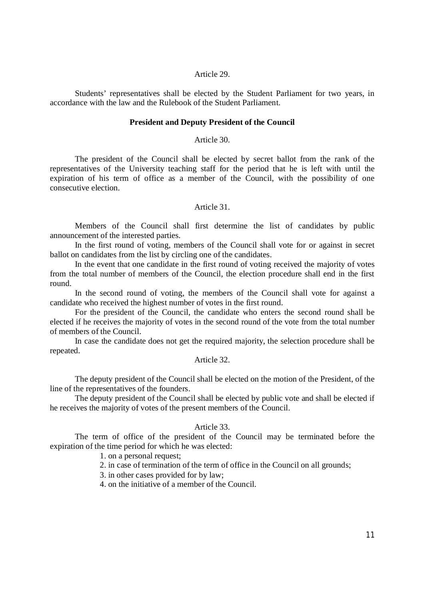### Article 29.

Students' representatives shall be elected by the Student Parliament for two years, in accordance with the law and the Rulebook of the Student Parliament.

### **President and Deputy President of the Council**

### Article 30.

The president of the Council shall be elected by secret ballot from the rank of the representatives of the University teaching staff for the period that he is left with until the expiration of his term of office as a member of the Council, with the possibility of one consecutive election.

## Article 31.

Members of the Council shall first determine the list of candidates by public announcement of the interested parties.

In the first round of voting, members of the Council shall vote for or against in secret ballot on candidates from the list by circling one of the candidates.

In the event that one candidate in the first round of voting received the majority of votes from the total number of members of the Council, the election procedure shall end in the first round.

In the second round of voting, the members of the Council shall vote for against a candidate who received the highest number of votes in the first round.

For the president of the Council, the candidate who enters the second round shall be elected if he receives the majority of votes in the second round of the vote from the total number of members of the Council.

In case the candidate does not get the required majority, the selection procedure shall be repeated.

### Article 32.

The deputy president of the Council shall be elected on the motion of the President, of the line of the representatives of the founders.

The deputy president of the Council shall be elected by public vote and shall be elected if he receives the majority of votes of the present members of the Council.

# Article 33.

The term of office of the president of the Council may be terminated before the expiration of the time period for which he was elected:

# 1. on a personal request;

- 2. in case of termination of the term of office in the Council on all grounds;
- 3. in other cases provided for by law;

4. on the initiative of a member of the Council.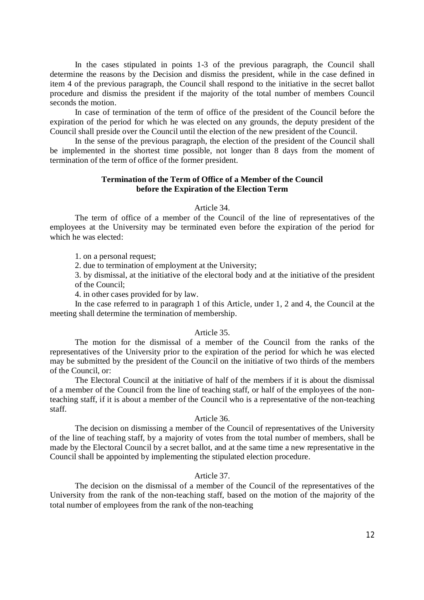In the cases stipulated in points 1-3 of the previous paragraph, the Council shall determine the reasons by the Decision and dismiss the president, while in the case defined in item 4 of the previous paragraph, the Council shall respond to the initiative in the secret ballot procedure and dismiss the president if the majority of the total number of members Council seconds the motion.

In case of termination of the term of office of the president of the Council before the expiration of the period for which he was elected on any grounds, the deputy president of the Council shall preside over the Council until the election of the new president of the Council.

In the sense of the previous paragraph, the election of the president of the Council shall be implemented in the shortest time possible, not longer than 8 days from the moment of termination of the term of office of the former president.

## **Termination of the Term of Office of a Member of the Council before the Expiration of the Election Term**

### Article 34.

The term of office of a member of the Council of the line of representatives of the employees at the University may be terminated even before the expiration of the period for which he was elected:

1. on a personal request;

2. due to termination of employment at the University;

3. by dismissal, at the initiative of the electoral body and at the initiative of the president of the Council;

4. in other cases provided for by law.

In the case referred to in paragraph 1 of this Article, under 1, 2 and 4, the Council at the meeting shall determine the termination of membership.

# Article 35.

The motion for the dismissal of a member of the Council from the ranks of the representatives of the University prior to the expiration of the period for which he was elected may be submitted by the president of the Council on the initiative of two thirds of the members of the Council, or:

The Electoral Council at the initiative of half of the members if it is about the dismissal of a member of the Council from the line of teaching staff, or half of the employees of the nonteaching staff, if it is about a member of the Council who is a representative of the non-teaching staff.

## Article 36.

The decision on dismissing a member of the Council of representatives of the University of the line of teaching staff, by a majority of votes from the total number of members, shall be made by the Electoral Council by a secret ballot, and at the same time a new representative in the Council shall be appointed by implementing the stipulated election procedure.

## Article 37.

The decision on the dismissal of a member of the Council of the representatives of the University from the rank of the non-teaching staff, based on the motion of the majority of the total number of employees from the rank of the non-teaching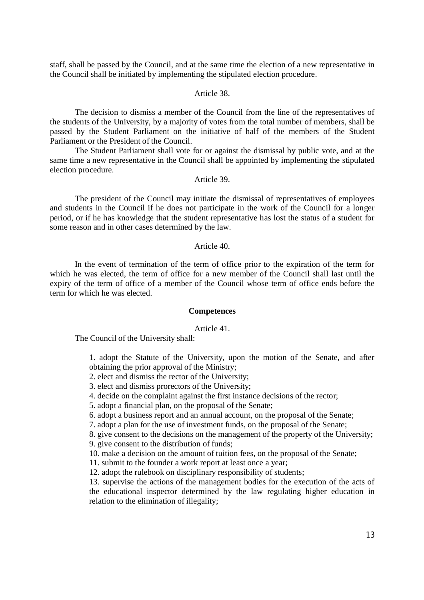staff, shall be passed by the Council, and at the same time the election of a new representative in the Council shall be initiated by implementing the stipulated election procedure.

### Article 38.

The decision to dismiss a member of the Council from the line of the representatives of the students of the University, by a majority of votes from the total number of members, shall be passed by the Student Parliament on the initiative of half of the members of the Student Parliament or the President of the Council.

The Student Parliament shall vote for or against the dismissal by public vote, and at the same time a new representative in the Council shall be appointed by implementing the stipulated election procedure.

#### Article 39.

The president of the Council may initiate the dismissal of representatives of employees and students in the Council if he does not participate in the work of the Council for a longer period, or if he has knowledge that the student representative has lost the status of a student for some reason and in other cases determined by the law.

### Article 40.

In the event of termination of the term of office prior to the expiration of the term for which he was elected, the term of office for a new member of the Council shall last until the expiry of the term of office of a member of the Council whose term of office ends before the term for which he was elected.

### **Competences**

### Article 41.

The Council of the University shall:

1. adopt the Statute of the University, upon the motion of the Senate, and after obtaining the prior approval of the Ministry;

- 2. elect and dismiss the rector of the University;
- 3. elect and dismiss prorectors of the University;
- 4. decide on the complaint against the first instance decisions of the rector;
- 5. adopt a financial plan, on the proposal of the Senate;
- 6. adopt a business report and an annual account, on the proposal of the Senate;

7. adopt a plan for the use of investment funds, on the proposal of the Senate;

8. give consent to the decisions on the management of the property of the University;

- 9. give consent to the distribution of funds;
- 10. make a decision on the amount of tuition fees, on the proposal of the Senate;
- 11. submit to the founder a work report at least once a year;

12. adopt the rulebook on disciplinary responsibility of students;

13. supervise the actions of the management bodies for the execution of the acts of the educational inspector determined by the law regulating higher education in relation to the elimination of illegality;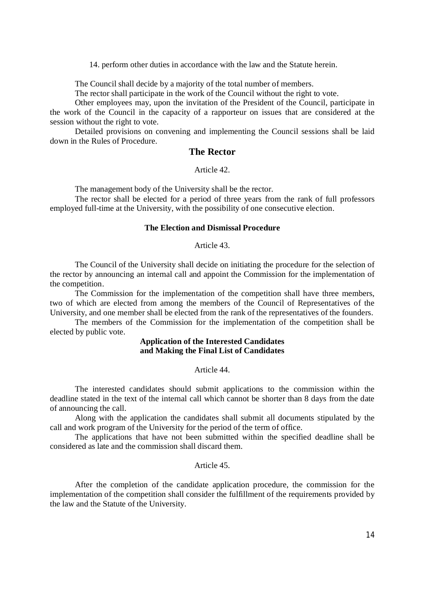14. perform other duties in accordance with the law and the Statute herein.

The Council shall decide by a majority of the total number of members.

The rector shall participate in the work of the Council without the right to vote.

Other employees may, upon the invitation of the President of the Council, participate in the work of the Council in the capacity of a rapporteur on issues that are considered at the session without the right to vote.

Detailed provisions on convening and implementing the Council sessions shall be laid down in the Rules of Procedure.

# **The Rector**

## Article 42.

The management body of the University shall be the rector.

The rector shall be elected for a period of three years from the rank of full professors employed full-time at the University, with the possibility of one consecutive election.

## **The Election and Dismissal Procedure**

Article 43.

The Council of the University shall decide on initiating the procedure for the selection of the rector by announcing an internal call and appoint the Commission for the implementation of the competition.

The Commission for the implementation of the competition shall have three members, two of which are elected from among the members of the Council of Representatives of the University, and one member shall be elected from the rank of the representatives of the founders.

The members of the Commission for the implementation of the competition shall be elected by public vote.

# **Application of the Interested Candidates and Making the Final List of Candidates**

### Article 44.

The interested candidates should submit applications to the commission within the deadline stated in the text of the internal call which cannot be shorter than 8 days from the date of announcing the call.

Along with the application the candidates shall submit all documents stipulated by the call and work program of the University for the period of the term of office.

The applications that have not been submitted within the specified deadline shall be considered as late and the commission shall discard them.

### Article 45.

After the completion of the candidate application procedure, the commission for the implementation of the competition shall consider the fulfillment of the requirements provided by the law and the Statute of the University.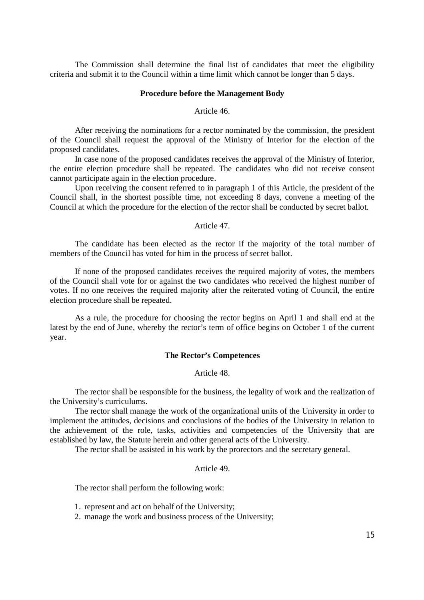The Commission shall determine the final list of candidates that meet the eligibility criteria and submit it to the Council within a time limit which cannot be longer than 5 days.

### **Procedure before the Management Body**

Article 46.

After receiving the nominations for a rector nominated by the commission, the president of the Council shall request the approval of the Ministry of Interior for the election of the proposed candidates.

In case none of the proposed candidates receives the approval of the Ministry of Interior, the entire election procedure shall be repeated. The candidates who did not receive consent cannot participate again in the election procedure.

Upon receiving the consent referred to in paragraph 1 of this Article, the president of the Council shall, in the shortest possible time, not exceeding 8 days, convene a meeting of the Council at which the procedure for the election of the rector shall be conducted by secret ballot.

## Article 47.

The candidate has been elected as the rector if the majority of the total number of members of the Council has voted for him in the process of secret ballot.

If none of the proposed candidates receives the required majority of votes, the members of the Council shall vote for or against the two candidates who received the highest number of votes. If no one receives the required majority after the reiterated voting of Council, the entire election procedure shall be repeated.

As a rule, the procedure for choosing the rector begins on April 1 and shall end at the latest by the end of June, whereby the rector's term of office begins on October 1 of the current year.

## **The Rector's Competences**

# Article 48.

The rector shall be responsible for the business, the legality of work and the realization of the University's curriculums.

The rector shall manage the work of the organizational units of the University in order to implement the attitudes, decisions and conclusions of the bodies of the University in relation to the achievement of the role, tasks, activities and competencies of the University that are established by law, the Statute herein and other general acts of the University.

The rector shall be assisted in his work by the prorectors and the secretary general.

### Article 49.

The rector shall perform the following work:

1. represent and act on behalf of the University;

2. manage the work and business process of the University;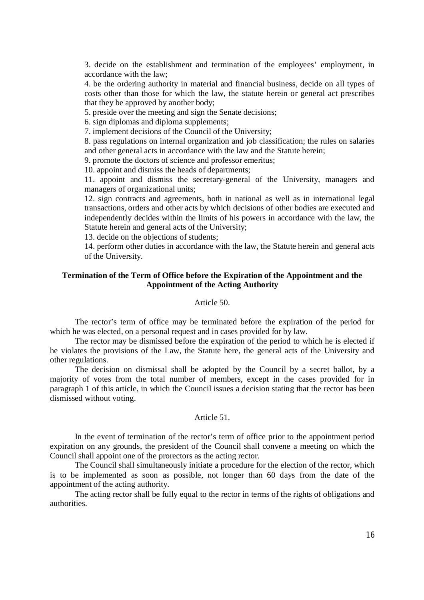3. decide on the establishment and termination of the employees' employment, in accordance with the law;

4. be the ordering authority in material and financial business, decide on all types of costs other than those for which the law, the statute herein or general act prescribes that they be approved by another body;

5. preside over the meeting and sign the Senate decisions;

6. sign diplomas and diploma supplements;

7. implement decisions of the Council of the University;

8. pass regulations on internal organization and job classification; the rules on salaries and other general acts in accordance with the law and the Statute herein;

9. promote the doctors of science and professor emeritus;

10. appoint and dismiss the heads of departments;

11. appoint and dismiss the secretary-general of the University, managers and managers of organizational units;

12. sign contracts and agreements, both in national as well as in international legal transactions, orders and other acts by which decisions of other bodies are executed and independently decides within the limits of his powers in accordance with the law, the Statute herein and general acts of the University;

13. decide on the objections of students;

14. perform other duties in accordance with the law, the Statute herein and general acts of the University.

# **Termination of the Term of Office before the Expiration of the Appointment and the Appointment of the Acting Authority**

## Article 50.

The rector's term of office may be terminated before the expiration of the period for which he was elected, on a personal request and in cases provided for by law.

The rector may be dismissed before the expiration of the period to which he is elected if he violates the provisions of the Law, the Statute here, the general acts of the University and other regulations.

The decision on dismissal shall be adopted by the Council by a secret ballot, by a majority of votes from the total number of members, except in the cases provided for in paragraph 1 of this article, in which the Council issues a decision stating that the rector has been dismissed without voting.

## Article 51.

In the event of termination of the rector's term of office prior to the appointment period expiration on any grounds, the president of the Council shall convene a meeting on which the Council shall appoint one of the prorectors as the acting rector.

The Council shall simultaneously initiate a procedure for the election of the rector, which is to be implemented as soon as possible, not longer than 60 days from the date of the appointment of the acting authority.

The acting rector shall be fully equal to the rector in terms of the rights of obligations and authorities.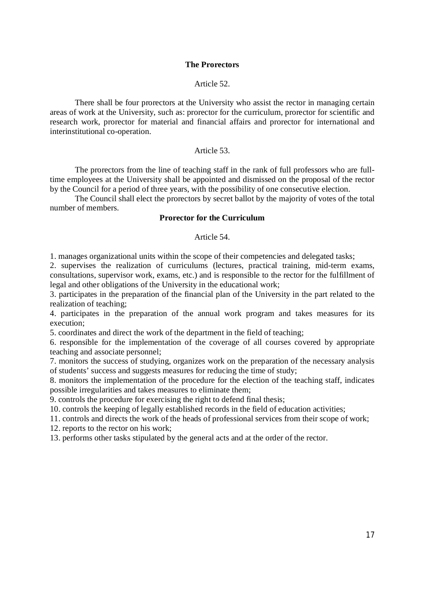## **The Prorectors**

## Article 52.

There shall be four prorectors at the University who assist the rector in managing certain areas of work at the University, such as: prorector for the curriculum, prorector for scientific and research work, prorector for material and financial affairs and prorector for international and interinstitutional co-operation.

## Article 53.

The prorectors from the line of teaching staff in the rank of full professors who are fulltime employees at the University shall be appointed and dismissed on the proposal of the rector by the Council for a period of three years, with the possibility of one consecutive election.

The Council shall elect the prorectors by secret ballot by the majority of votes of the total number of members.

## **Prorector for the Curriculum**

### Article 54.

1. manages organizational units within the scope of their competencies and delegated tasks;

2. supervises the realization of curriculums (lectures, practical training, mid-term exams, consultations, supervisor work, exams, etc.) and is responsible to the rector for the fulfillment of legal and other obligations of the University in the educational work;

3. participates in the preparation of the financial plan of the University in the part related to the realization of teaching;

4. participates in the preparation of the annual work program and takes measures for its execution;

5. coordinates and direct the work of the department in the field of teaching;

6. responsible for the implementation of the coverage of all courses covered by appropriate teaching and associate personnel;

7. monitors the success of studying, organizes work on the preparation of the necessary analysis of students' success and suggests measures for reducing the time of study;

8. monitors the implementation of the procedure for the election of the teaching staff, indicates possible irregularities and takes measures to eliminate them;

9. controls the procedure for exercising the right to defend final thesis;

10. controls the keeping of legally established records in the field of education activities;

11. controls and directs the work of the heads of professional services from their scope of work;

12. reports to the rector on his work;

13. performs other tasks stipulated by the general acts and at the order of the rector.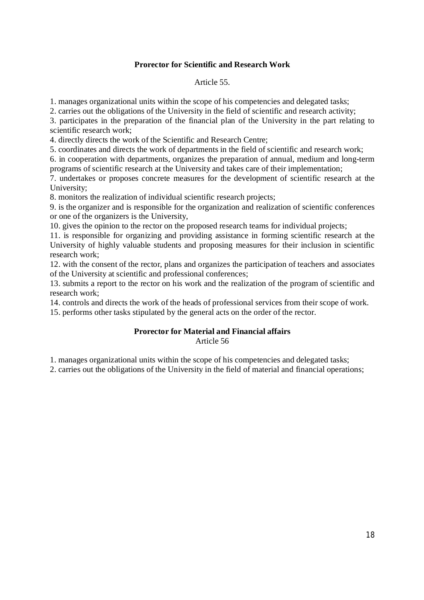# **Prorector for Scientific and Research Work**

# Article 55.

1. manages organizational units within the scope of his competencies and delegated tasks;

2. carries out the obligations of the University in the field of scientific and research activity;

3. participates in the preparation of the financial plan of the University in the part relating to scientific research work;

4. directly directs the work of the Scientific and Research Centre;

5. coordinates and directs the work of departments in the field of scientific and research work;

6. in cooperation with departments, organizes the preparation of annual, medium and long-term programs of scientific research at the University and takes care of their implementation;

7. undertakes or proposes concrete measures for the development of scientific research at the University;

8. monitors the realization of individual scientific research projects;

9. is the organizer and is responsible for the organization and realization of scientific conferences or one of the organizers is the University,

10. gives the opinion to the rector on the proposed research teams for individual projects;

11. is responsible for organizing and providing assistance in forming scientific research at the University of highly valuable students and proposing measures for their inclusion in scientific research work;

12. with the consent of the rector, plans and organizes the participation of teachers and associates of the University at scientific and professional conferences;

13. submits a report to the rector on his work and the realization of the program of scientific and research work;

14. controls and directs the work of the heads of professional services from their scope of work.

15. performs other tasks stipulated by the general acts on the order of the rector.

## **Prorector for Material and Financial affairs** Article 56

1. manages organizational units within the scope of his competencies and delegated tasks;

2. carries out the obligations of the University in the field of material and financial operations;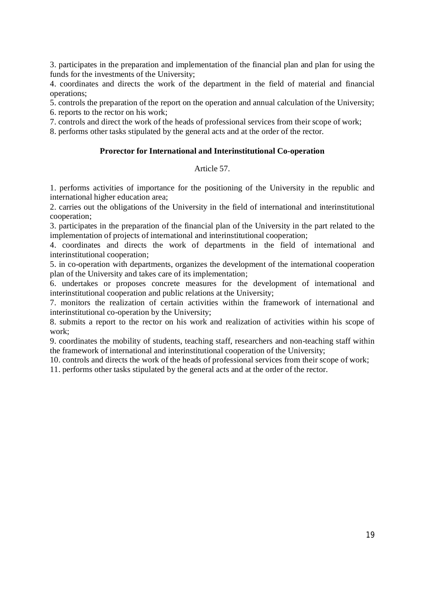3. participates in the preparation and implementation of the financial plan and plan for using the funds for the investments of the University;

4. coordinates and directs the work of the department in the field of material and financial operations;

5. controls the preparation of the report on the operation and annual calculation of the University; 6. reports to the rector on his work;

7. controls and direct the work of the heads of professional services from their scope of work;

8. performs other tasks stipulated by the general acts and at the order of the rector.

## **Prorector for International and Interinstitutional Co-operation**

# Article 57.

1. performs activities of importance for the positioning of the University in the republic and international higher education area;

2. carries out the obligations of the University in the field of international and interinstitutional cooperation;

3. participates in the preparation of the financial plan of the University in the part related to the implementation of projects of international and interinstitutional cooperation;

4. coordinates and directs the work of departments in the field of international and interinstitutional cooperation;

5. in co-operation with departments, organizes the development of the international cooperation plan of the University and takes care of its implementation;

6. undertakes or proposes concrete measures for the development of international and interinstitutional cooperation and public relations at the University;

7. monitors the realization of certain activities within the framework of international and interinstitutional co-operation by the University;

8. submits a report to the rector on his work and realization of activities within his scope of work;

9. coordinates the mobility of students, teaching staff, researchers and non-teaching staff within the framework of international and interinstitutional cooperation of the University;

10. controls and directs the work of the heads of professional services from their scope of work;

11. performs other tasks stipulated by the general acts and at the order of the rector.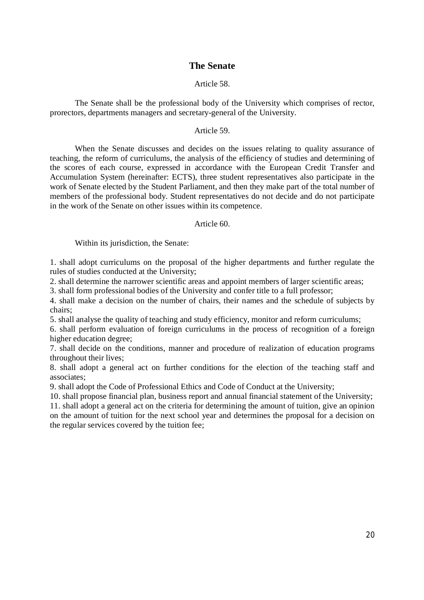# **The Senate**

# Article 58.

The Senate shall be the professional body of the University which comprises of rector, prorectors, departments managers and secretary-general of the University.

### Article 59.

When the Senate discusses and decides on the issues relating to quality assurance of teaching, the reform of curriculums, the analysis of the efficiency of studies and determining of the scores of each course, expressed in accordance with the European Credit Transfer and Accumulation System (hereinafter: ECTS), three student representatives also participate in the work of Senate elected by the Student Parliament, and then they make part of the total number of members of the professional body. Student representatives do not decide and do not participate in the work of the Senate on other issues within its competence.

# Article 60.

Within its jurisdiction, the Senate:

1. shall adopt curriculums on the proposal of the higher departments and further regulate the rules of studies conducted at the University;

2. shall determine the narrower scientific areas and appoint members of larger scientific areas;

3. shall form professional bodies of the University and confer title to a full professor;

4. shall make a decision on the number of chairs, their names and the schedule of subjects by chairs;

5. shall analyse the quality of teaching and study efficiency, monitor and reform curriculums;

6. shall perform evaluation of foreign curriculums in the process of recognition of a foreign higher education degree;

7. shall decide on the conditions, manner and procedure of realization of education programs throughout their lives;

8. shall adopt a general act on further conditions for the election of the teaching staff and associates;

9. shall adopt the Code of Professional Ethics and Code of Conduct at the University;

10. shall propose financial plan, business report and annual financial statement of the University; 11. shall adopt a general act on the criteria for determining the amount of tuition, give an opinion on the amount of tuition for the next school year and determines the proposal for a decision on the regular services covered by the tuition fee;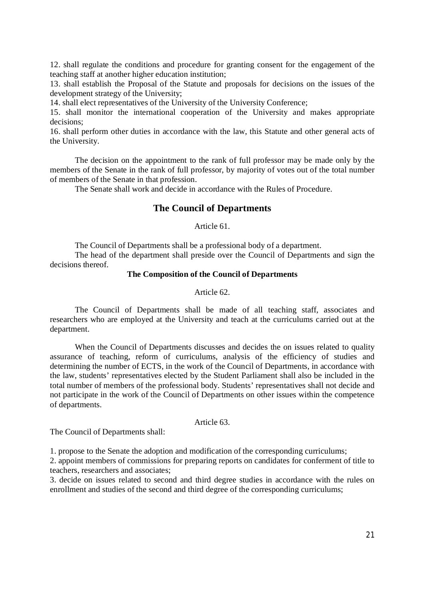12. shall regulate the conditions and procedure for granting consent for the engagement of the teaching staff at another higher education institution;

13. shall establish the Proposal of the Statute and proposals for decisions on the issues of the development strategy of the University;

14. shall elect representatives of the University of the University Conference;

15. shall monitor the international cooperation of the University and makes appropriate decisions;

16. shall perform other duties in accordance with the law, this Statute and other general acts of the University.

The decision on the appointment to the rank of full professor may be made only by the members of the Senate in the rank of full professor, by majority of votes out of the total number of members of the Senate in that profession.

The Senate shall work and decide in accordance with the Rules of Procedure.

# **The Council of Departments**

## Article 61.

The Council of Departments shall be a professional body of a department.

The head of the department shall preside over the Council of Departments and sign the decisions thereof

## **The Composition of the Council of Departments**

Article 62.

The Council of Departments shall be made of all teaching staff, associates and researchers who are employed at the University and teach at the curriculums carried out at the department.

When the Council of Departments discusses and decides the on issues related to quality assurance of teaching, reform of curriculums, analysis of the efficiency of studies and determining the number of ECTS, in the work of the Council of Departments, in accordance with the law, students' representatives elected by the Student Parliament shall also be included in the total number of members of the professional body. Students' representatives shall not decide and not participate in the work of the Council of Departments on other issues within the competence of departments.

Article 63.

The Council of Departments shall:

1. propose to the Senate the adoption and modification of the corresponding curriculums;

2. appoint members of commissions for preparing reports on candidates for conferment of title to teachers, researchers and associates;

3. decide on issues related to second and third degree studies in accordance with the rules on enrollment and studies of the second and third degree of the corresponding curriculums;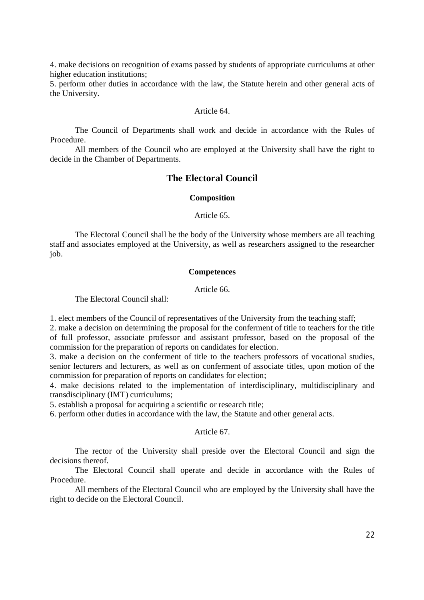4. make decisions on recognition of exams passed by students of appropriate curriculums at other higher education institutions;

5. perform other duties in accordance with the law, the Statute herein and other general acts of the University.

### Article 64.

The Council of Departments shall work and decide in accordance with the Rules of Procedure.

All members of the Council who are employed at the University shall have the right to decide in the Chamber of Departments.

# **The Electoral Council**

#### **Composition**

Article 65.

The Electoral Council shall be the body of the University whose members are all teaching staff and associates employed at the University, as well as researchers assigned to the researcher job.

## **Competences**

Article 66.

The Electoral Council shall:

1. elect members of the Council of representatives of the University from the teaching staff;

2. make a decision on determining the proposal for the conferment of title to teachers for the title of full professor, associate professor and assistant professor, based on the proposal of the commission for the preparation of reports on candidates for election.

3. make a decision on the conferment of title to the teachers professors of vocational studies, senior lecturers and lecturers, as well as on conferment of associate titles, upon motion of the commission for preparation of reports on candidates for election;

4. make decisions related to the implementation of interdisciplinary, multidisciplinary and transdisciplinary (IMT) curriculums;

5. establish a proposal for acquiring a scientific or research title;

6. perform other duties in accordance with the law, the Statute and other general acts.

Article 67.

The rector of the University shall preside over the Electoral Council and sign the decisions thereof.

The Electoral Council shall operate and decide in accordance with the Rules of Procedure.

All members of the Electoral Council who are employed by the University shall have the right to decide on the Electoral Council.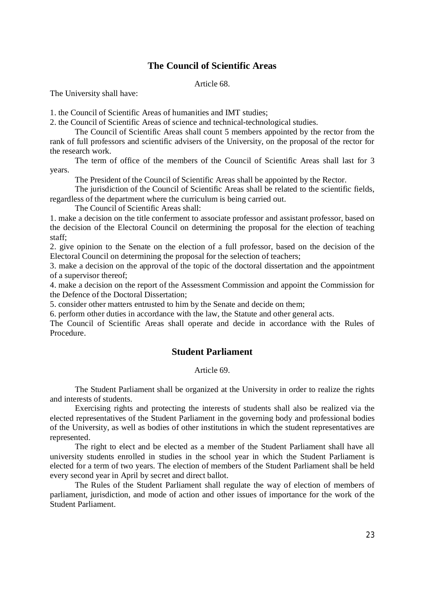# **The Council of Scientific Areas**

Article 68.

The University shall have:

1. the Council of Scientific Areas of humanities and IMT studies;

2. the Council of Scientific Areas of science and technical-technological studies.

The Council of Scientific Areas shall count 5 members appointed by the rector from the rank of full professors and scientific advisers of the University, on the proposal of the rector for the research work.

The term of office of the members of the Council of Scientific Areas shall last for 3 years.

The President of the Council of Scientific Areas shall be appointed by the Rector.

The jurisdiction of the Council of Scientific Areas shall be related to the scientific fields, regardless of the department where the curriculum is being carried out.

The Council of Scientific Areas shall:

1. make a decision on the title conferment to associate professor and assistant professor, based on the decision of the Electoral Council on determining the proposal for the election of teaching staff;

2. give opinion to the Senate on the election of a full professor, based on the decision of the Electoral Council on determining the proposal for the selection of teachers;

3. make a decision on the approval of the topic of the doctoral dissertation and the appointment of a supervisor thereof;

4. make a decision on the report of the Assessment Commission and appoint the Commission for the Defence of the Doctoral Dissertation;

5. consider other matters entrusted to him by the Senate and decide on them;

6. perform other duties in accordance with the law, the Statute and other general acts.

The Council of Scientific Areas shall operate and decide in accordance with the Rules of Procedure.

# **Student Parliament**

Article 69.

The Student Parliament shall be organized at the University in order to realize the rights and interests of students.

Exercising rights and protecting the interests of students shall also be realized via the elected representatives of the Student Parliament in the governing body and professional bodies of the University, as well as bodies of other institutions in which the student representatives are represented.

The right to elect and be elected as a member of the Student Parliament shall have all university students enrolled in studies in the school year in which the Student Parliament is elected for a term of two years. The election of members of the Student Parliament shall be held every second year in April by secret and direct ballot.

The Rules of the Student Parliament shall regulate the way of election of members of parliament, jurisdiction, and mode of action and other issues of importance for the work of the Student Parliament.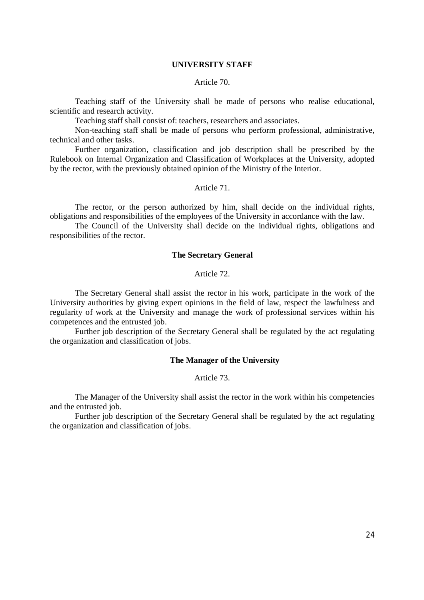### **UNIVERSITY STAFF**

### Article 70.

Teaching staff of the University shall be made of persons who realise educational, scientific and research activity.

Teaching staff shall consist of: teachers, researchers and associates.

Non-teaching staff shall be made of persons who perform professional, administrative, technical and other tasks.

Further organization, classification and job description shall be prescribed by the Rulebook on Internal Organization and Classification of Workplaces at the University, adopted by the rector, with the previously obtained opinion of the Ministry of the Interior.

### Article 71.

The rector, or the person authorized by him, shall decide on the individual rights, obligations and responsibilities of the employees of the University in accordance with the law.

The Council of the University shall decide on the individual rights, obligations and responsibilities of the rector.

# **The Secretary General**

### Article 72.

The Secretary General shall assist the rector in his work, participate in the work of the University authorities by giving expert opinions in the field of law, respect the lawfulness and regularity of work at the University and manage the work of professional services within his competences and the entrusted job.

Further job description of the Secretary General shall be regulated by the act regulating the organization and classification of jobs.

### **The Manager of the University**

### Article 73.

The Manager of the University shall assist the rector in the work within his competencies and the entrusted job.

Further job description of the Secretary General shall be regulated by the act regulating the organization and classification of jobs.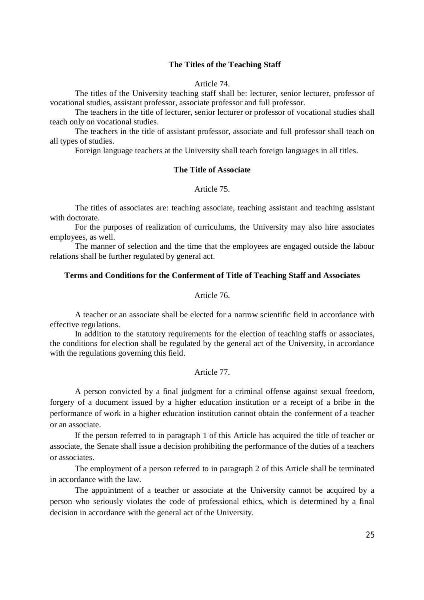### **The Titles of the Teaching Staff**

### Article 74.

The titles of the University teaching staff shall be: lecturer, senior lecturer, professor of vocational studies, assistant professor, associate professor and full professor.

The teachers in the title of lecturer, senior lecturer or professor of vocational studies shall teach only on vocational studies.

The teachers in the title of assistant professor, associate and full professor shall teach on all types of studies.

Foreign language teachers at the University shall teach foreign languages in all titles.

# **The Title of Associate**

### Article 75.

The titles of associates are: teaching associate, teaching assistant and teaching assistant with doctorate.

For the purposes of realization of curriculums, the University may also hire associates employees, as well.

The manner of selection and the time that the employees are engaged outside the labour relations shall be further regulated by general act.

### **Terms and Conditions for the Conferment of Title of Teaching Staff and Associates**

## Article 76.

A teacher or an associate shall be elected for a narrow scientific field in accordance with effective regulations.

In addition to the statutory requirements for the election of teaching staffs or associates, the conditions for election shall be regulated by the general act of the University, in accordance with the regulations governing this field.

### Article 77.

A person convicted by a final judgment for a criminal offense against sexual freedom, forgery of a document issued by a higher education institution or a receipt of a bribe in the performance of work in a higher education institution cannot obtain the conferment of a teacher or an associate.

If the person referred to in paragraph 1 of this Article has acquired the title of teacher or associate, the Senate shall issue a decision prohibiting the performance of the duties of a teachers or associates.

The employment of a person referred to in paragraph 2 of this Article shall be terminated in accordance with the law.

The appointment of a teacher or associate at the University cannot be acquired by a person who seriously violates the code of professional ethics, which is determined by a final decision in accordance with the general act of the University.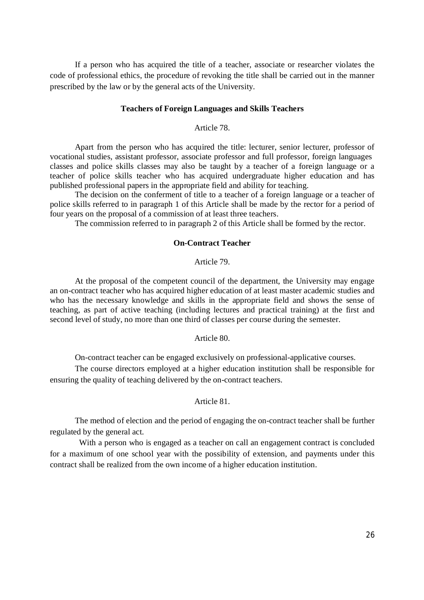If a person who has acquired the title of a teacher, associate or researcher violates the code of professional ethics, the procedure of revoking the title shall be carried out in the manner prescribed by the law or by the general acts of the University.

### **Teachers of Foreign Languages and Skills Teachers**

#### Article 78.

Apart from the person who has acquired the title: lecturer, senior lecturer, professor of vocational studies, assistant professor, associate professor and full professor, foreign languages classes and police skills classes may also be taught by a teacher of a foreign language or a teacher of police skills teacher who has acquired undergraduate higher education and has published professional papers in the appropriate field and ability for teaching.

The decision on the conferment of title to a teacher of a foreign language or a teacher of police skills referred to in paragraph 1 of this Article shall be made by the rector for a period of four years on the proposal of a commission of at least three teachers.

The commission referred to in paragraph 2 of this Article shall be formed by the rector.

## **On-Contract Teacher**

### Article 79.

At the proposal of the competent council of the department, the University may engage an on-contract teacher who has acquired higher education of at least master academic studies and who has the necessary knowledge and skills in the appropriate field and shows the sense of teaching, as part of active teaching (including lectures and practical training) at the first and second level of study, no more than one third of classes per course during the semester.

#### Article 80.

On-contract teacher can be engaged exclusively on professional-applicative courses.

The course directors employed at a higher education institution shall be responsible for ensuring the quality of teaching delivered by the on-contract teachers.

# Article 81.

The method of election and the period of engaging the on-contract teacher shall be further regulated by the general act.

With a person who is engaged as a teacher on call an engagement contract is concluded for a maximum of one school year with the possibility of extension, and payments under this contract shall be realized from the own income of a higher education institution.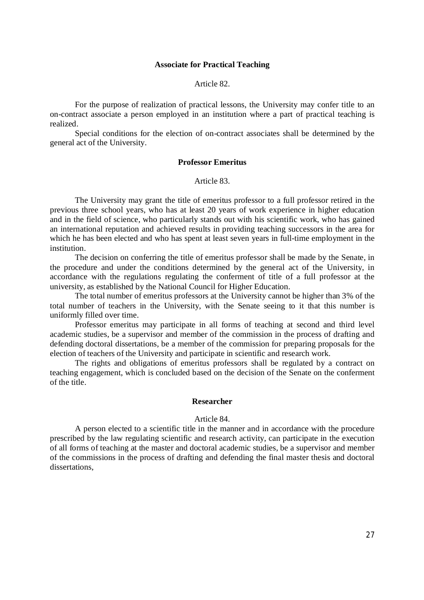## **Associate for Practical Teaching**

### Article 82.

For the purpose of realization of practical lessons, the University may confer title to an on-contract associate a person employed in an institution where a part of practical teaching is realized.

Special conditions for the election of on-contract associates shall be determined by the general act of the University.

### **Professor Emeritus**

Article 83.

The University may grant the title of emeritus professor to a full professor retired in the previous three school years, who has at least 20 years of work experience in higher education and in the field of science, who particularly stands out with his scientific work, who has gained an international reputation and achieved results in providing teaching successors in the area for which he has been elected and who has spent at least seven years in full-time employment in the institution.

The decision on conferring the title of emeritus professor shall be made by the Senate, in the procedure and under the conditions determined by the general act of the University, in accordance with the regulations regulating the conferment of title of a full professor at the university, as established by the National Council for Higher Education.

The total number of emeritus professors at the University cannot be higher than 3% of the total number of teachers in the University, with the Senate seeing to it that this number is uniformly filled over time.

Professor emeritus may participate in all forms of teaching at second and third level academic studies, be a supervisor and member of the commission in the process of drafting and defending doctoral dissertations, be a member of the commission for preparing proposals for the election of teachers of the University and participate in scientific and research work.

The rights and obligations of emeritus professors shall be regulated by a contract on teaching engagement, which is concluded based on the decision of the Senate on the conferment of the title.

## **Researcher**

## Article 84.

A person elected to a scientific title in the manner and in accordance with the procedure prescribed by the law regulating scientific and research activity, can participate in the execution of all forms of teaching at the master and doctoral academic studies, be a supervisor and member of the commissions in the process of drafting and defending the final master thesis and doctoral dissertations,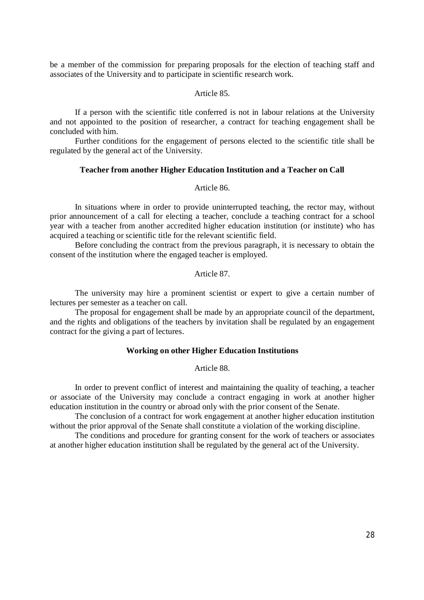be a member of the commission for preparing proposals for the election of teaching staff and associates of the University and to participate in scientific research work.

### Article 85.

If a person with the scientific title conferred is not in labour relations at the University and not appointed to the position of researcher, a contract for teaching engagement shall be concluded with him.

Further conditions for the engagement of persons elected to the scientific title shall be regulated by the general act of the University.

### **Teacher from another Higher Education Institution and a Teacher on Call**

### Article 86.

In situations where in order to provide uninterrupted teaching, the rector may, without prior announcement of a call for electing a teacher, conclude a teaching contract for a school year with a teacher from another accredited higher education institution (or institute) who has acquired a teaching or scientific title for the relevant scientific field.

Before concluding the contract from the previous paragraph, it is necessary to obtain the consent of the institution where the engaged teacher is employed.

### Article 87.

The university may hire a prominent scientist or expert to give a certain number of lectures per semester as a teacher on call.

The proposal for engagement shall be made by an appropriate council of the department, and the rights and obligations of the teachers by invitation shall be regulated by an engagement contract for the giving a part of lectures.

### **Working on other Higher Education Institutions**

## Article 88.

In order to prevent conflict of interest and maintaining the quality of teaching, a teacher or associate of the University may conclude a contract engaging in work at another higher education institution in the country or abroad only with the prior consent of the Senate.

The conclusion of a contract for work engagement at another higher education institution without the prior approval of the Senate shall constitute a violation of the working discipline.

The conditions and procedure for granting consent for the work of teachers or associates at another higher education institution shall be regulated by the general act of the University.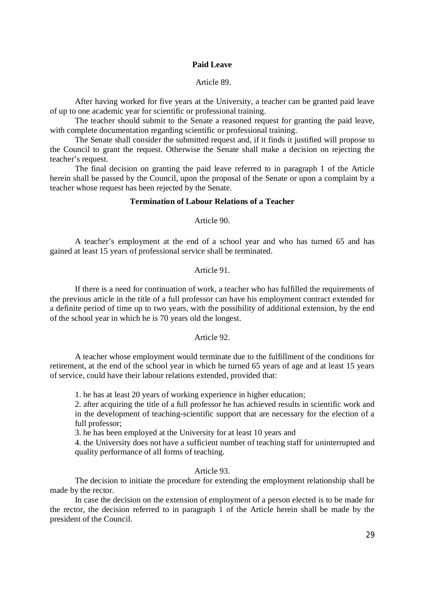## **Paid Leave**

## Article 89.

After having worked for five years at the University, a teacher can be granted paid leave of up to one academic year for scientific or professional training.

The teacher should submit to the Senate a reasoned request for granting the paid leave, with complete documentation regarding scientific or professional training.

The Senate shall consider the submitted request and, if it finds it justified will propose to the Council to grant the request. Otherwise the Senate shall make a decision on rejecting the teacher's request.

The final decision on granting the paid leave referred to in paragraph 1 of the Article herein shall be passed by the Council, upon the proposal of the Senate or upon a complaint by a teacher whose request has been rejected by the Senate.

## **Termination of Labour Relations of a Teacher**

Article 90.

A teacher's employment at the end of a school year and who has turned 65 and has gained at least 15 years of professional service shall be terminated.

## Article 91.

If there is a need for continuation of work, a teacher who has fulfilled the requirements of the previous article in the title of a full professor can have his employment contract extended for a definite period of time up to two years, with the possibility of additional extension, by the end of the school year in which he is 70 years old the longest.

## Article 92.

A teacher whose employment would terminate due to the fulfillment of the conditions for retirement, at the end of the school year in which he turned 65 years of age and at least 15 years of service, could have their labour relations extended, provided that:

1. he has at least 20 years of working experience in higher education;

2. after acquiring the title of a full professor he has achieved results in scientific work and in the development of teaching-scientific support that are necessary for the election of a full professor;

3. he has been employed at the University for at least 10 years and

4. the University does not have a sufficient number of teaching staff for uninterrupted and quality performance of all forms of teaching.

### Article 93.

The decision to initiate the procedure for extending the employment relationship shall be made by the rector.

In case the decision on the extension of employment of a person elected is to be made for the rector, the decision referred to in paragraph 1 of the Article herein shall be made by the president of the Council.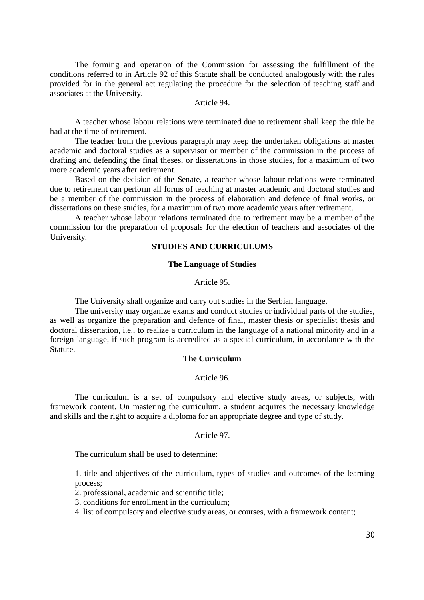The forming and operation of the Commission for assessing the fulfillment of the conditions referred to in Article 92 of this Statute shall be conducted analogously with the rules provided for in the general act regulating the procedure for the selection of teaching staff and associates at the University.

Article 94.

A teacher whose labour relations were terminated due to retirement shall keep the title he had at the time of retirement.

The teacher from the previous paragraph may keep the undertaken obligations at master academic and doctoral studies as a supervisor or member of the commission in the process of drafting and defending the final theses, or dissertations in those studies, for a maximum of two more academic years after retirement.

Based on the decision of the Senate, a teacher whose labour relations were terminated due to retirement can perform all forms of teaching at master academic and doctoral studies and be a member of the commission in the process of elaboration and defence of final works, or dissertations on these studies, for a maximum of two more academic years after retirement.

A teacher whose labour relations terminated due to retirement may be a member of the commission for the preparation of proposals for the election of teachers and associates of the University.

## **STUDIES AND CURRICULUMS**

### **The Language of Studies**

Article 95.

The University shall organize and carry out studies in the Serbian language.

The university may organize exams and conduct studies or individual parts of the studies, as well as organize the preparation and defence of final, master thesis or specialist thesis and doctoral dissertation, i.e., to realize a curriculum in the language of a national minority and in a foreign language, if such program is accredited as a special curriculum, in accordance with the Statute.

## **The Curriculum**

### Article 96.

The curriculum is a set of compulsory and elective study areas, or subjects, with framework content. On mastering the curriculum, a student acquires the necessary knowledge and skills and the right to acquire a diploma for an appropriate degree and type of study.

## Article 97.

The curriculum shall be used to determine:

1. title and objectives of the curriculum, types of studies and outcomes of the learning process;

- 2. professional, academic and scientific title;
- 3. conditions for enrollment in the curriculum;
- 4. list of compulsory and elective study areas, or courses, with a framework content;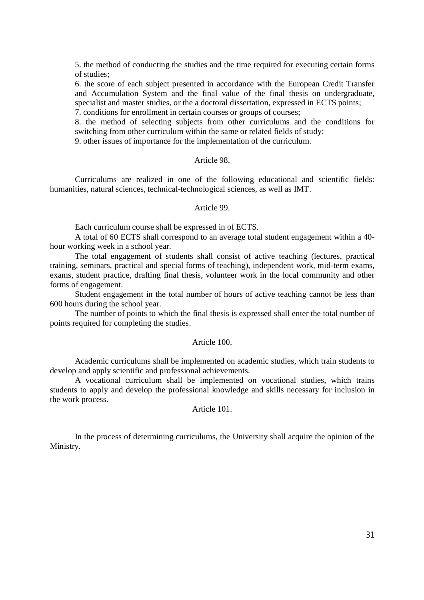5. the method of conducting the studies and the time required for executing certain forms of studies;

6. the score of each subject presented in accordance with the European Credit Transfer and Accumulation System and the final value of the final thesis on undergraduate, specialist and master studies, or the a doctoral dissertation, expressed in ECTS points;

7. conditions for enrollment in certain courses or groups of courses;

8. the method of selecting subjects from other curriculums and the conditions for switching from other curriculum within the same or related fields of study;

9. other issues of importance for the implementation of the curriculum.

# Article 98.

Curriculums are realized in one of the following educational and scientific fields: humanities, natural sciences, technical-technological sciences, as well as IMT.

### Article 99.

Each curriculum course shall be expressed in of ECTS.

A total of 60 ECTS shall correspond to an average total student engagement within a 40 hour working week in a school year.

The total engagement of students shall consist of active teaching (lectures, practical training, seminars, practical and special forms of teaching), independent work, mid-term exams, exams, student practice, drafting final thesis, volunteer work in the local community and other forms of engagement.

Student engagement in the total number of hours of active teaching cannot be less than 600 hours during the school year.

The number of points to which the final thesis is expressed shall enter the total number of points required for completing the studies.

### Article 100.

Academic curriculums shall be implemented on academic studies, which train students to develop and apply scientific and professional achievements.

A vocational curriculum shall be implemented on vocational studies, which trains students to apply and develop the professional knowledge and skills necessary for inclusion in the work process.

Article 101.

In the process of determining curriculums, the University shall acquire the opinion of the Ministry.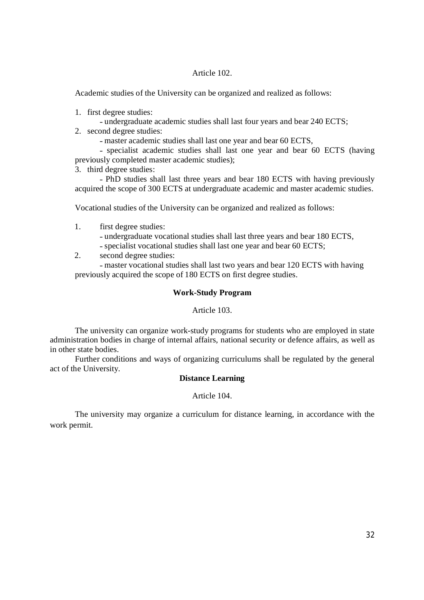## Article 102.

Academic studies of the University can be organized and realized as follows:

- 1. first degree studies:
	- undergraduate academic studies shall last four years and bear 240 ECTS;
- 2. second degree studies:
	- master academic studies shall last one year and bear 60 ECTS,
- specialist academic studies shall last one year and bear 60 ECTS (having previously completed master academic studies);
- 3. third degree studies:

- PhD studies shall last three years and bear 180 ECTS with having previously acquired the scope of 300 ECTS at undergraduate academic and master academic studies.

Vocational studies of the University can be organized and realized as follows:

- 1. first degree studies:
	- ˗ undergraduate vocational studies shall last three years and bear 180 ECTS,
	- specialist vocational studies shall last one year and bear 60 ECTS;
- 2. second degree studies:

- master vocational studies shall last two years and bear 120 ECTS with having previously acquired the scope of 180 ECTS on first degree studies.

# **Work-Study Program**

Article 103.

The university can organize work-study programs for students who are employed in state administration bodies in charge of internal affairs, national security or defence affairs, as well as in other state bodies.

Further conditions and ways of organizing curriculums shall be regulated by the general act of the University.

# **Distance Learning**

Article 104.

The university may organize a curriculum for distance learning, in accordance with the work permit.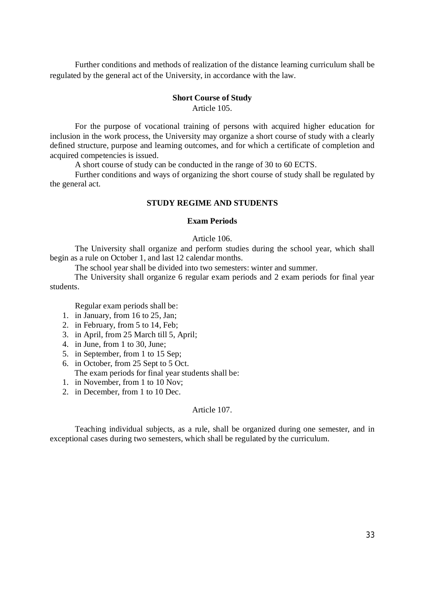Further conditions and methods of realization of the distance learning curriculum shall be regulated by the general act of the University, in accordance with the law.

# **Short Course of Study**

Article 105.

For the purpose of vocational training of persons with acquired higher education for inclusion in the work process, the University may organize a short course of study with a clearly defined structure, purpose and learning outcomes, and for which a certificate of completion and acquired competencies is issued.

A short course of study can be conducted in the range of 30 to 60 ECTS.

Further conditions and ways of organizing the short course of study shall be regulated by the general act.

# **STUDY REGIME AND STUDENTS**

## **Exam Periods**

## Article 106.

The University shall organize and perform studies during the school year, which shall begin as a rule on October 1, and last 12 calendar months.

The school year shall be divided into two semesters: winter and summer.

The University shall organize 6 regular exam periods and 2 exam periods for final year students.

Regular exam periods shall be:

- 1. in January, from 16 to 25, Jan;
- 2. in February, from 5 to 14, Feb;
- 3. in April, from 25 March till 5, April;
- 4. in June, from 1 to 30, June;
- 5. in September, from 1 to 15 Sep;
- 6. in October, from 25 Sept to 5 Oct. The exam periods for final year students shall be:
- 1. in November, from 1 to 10 Nov;
- 2. in December, from 1 to 10 Dec.

### Article 107.

Teaching individual subjects, as a rule, shall be organized during one semester, and in exceptional cases during two semesters, which shall be regulated by the curriculum.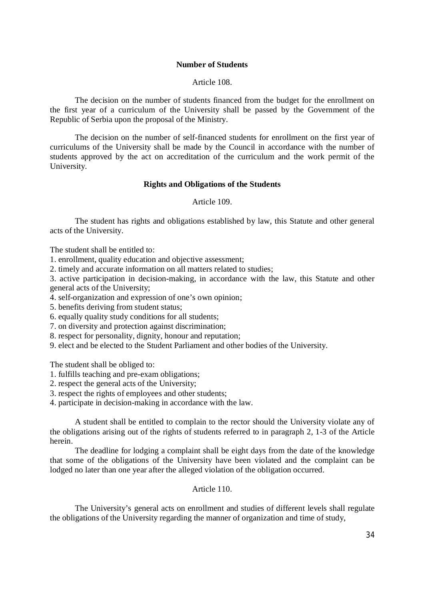## **Number of Students**

### Article 108.

The decision on the number of students financed from the budget for the enrollment on the first year of a curriculum of the University shall be passed by the Government of the Republic of Serbia upon the proposal of the Ministry.

The decision on the number of self-financed students for enrollment on the first year of curriculums of the University shall be made by the Council in accordance with the number of students approved by the act on accreditation of the curriculum and the work permit of the University.

### **Rights and Obligations of the Students**

### Article 109.

The student has rights and obligations established by law, this Statute and other general acts of the University.

The student shall be entitled to:

1. enrollment, quality education and objective assessment;

2. timely and accurate information on all matters related to studies;

3. active participation in decision-making, in accordance with the law, this Statute and other general acts of the University;

4. self-organization and expression of one's own opinion;

5. benefits deriving from student status;

6. equally quality study conditions for all students;

7. on diversity and protection against discrimination;

8. respect for personality, dignity, honour and reputation;

9. elect and be elected to the Student Parliament and other bodies of the University.

The student shall be obliged to:

- 1. fulfills teaching and pre-exam obligations;
- 2. respect the general acts of the University;
- 3. respect the rights of employees and other students;

4. participate in decision-making in accordance with the law.

A student shall be entitled to complain to the rector should the University violate any of the obligations arising out of the rights of students referred to in paragraph 2, 1-3 of the Article herein.

The deadline for lodging a complaint shall be eight days from the date of the knowledge that some of the obligations of the University have been violated and the complaint can be lodged no later than one year after the alleged violation of the obligation occurred.

### Article 110.

The University's general acts on enrollment and studies of different levels shall regulate the obligations of the University regarding the manner of organization and time of study,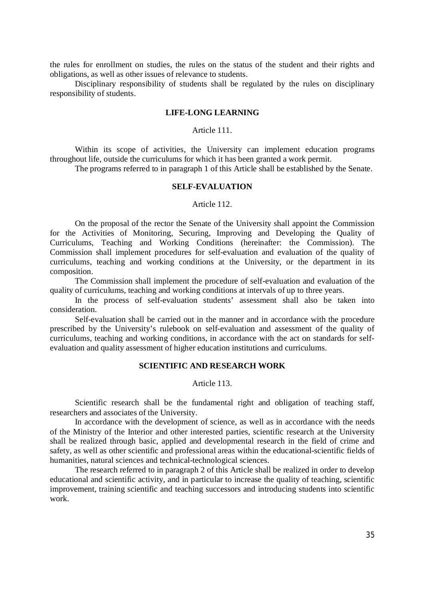the rules for enrollment on studies, the rules on the status of the student and their rights and obligations, as well as other issues of relevance to students.

Disciplinary responsibility of students shall be regulated by the rules on disciplinary responsibility of students.

## **LIFE-LONG LEARNING**

### Article 111.

Within its scope of activities, the University can implement education programs throughout life, outside the curriculums for which it has been granted a work permit.

The programs referred to in paragraph 1 of this Article shall be established by the Senate.

## **SELF-EVALUATION**

### Article 112.

On the proposal of the rector the Senate of the University shall appoint the Commission for the Activities of Monitoring, Securing, Improving and Developing the Quality of Curriculums, Teaching and Working Conditions (hereinafter: the Commission). The Commission shall implement procedures for self-evaluation and evaluation of the quality of curriculums, teaching and working conditions at the University, or the department in its composition.

The Commission shall implement the procedure of self-evaluation and evaluation of the quality of curriculums, teaching and working conditions at intervals of up to three years.

In the process of self-evaluation students' assessment shall also be taken into consideration.

Self-evaluation shall be carried out in the manner and in accordance with the procedure prescribed by the University's rulebook on self-evaluation and assessment of the quality of curriculums, teaching and working conditions, in accordance with the act on standards for selfevaluation and quality assessment of higher education institutions and curriculums.

### **SCIENTIFIC AND RESEARCH WORK**

Article 113.

Scientific research shall be the fundamental right and obligation of teaching staff, researchers and associates of the University.

In accordance with the development of science, as well as in accordance with the needs of the Ministry of the Interior and other interested parties, scientific research at the University shall be realized through basic, applied and developmental research in the field of crime and safety, as well as other scientific and professional areas within the educational-scientific fields of humanities, natural sciences and technical-technological sciences.

The research referred to in paragraph 2 of this Article shall be realized in order to develop educational and scientific activity, and in particular to increase the quality of teaching, scientific improvement, training scientific and teaching successors and introducing students into scientific work.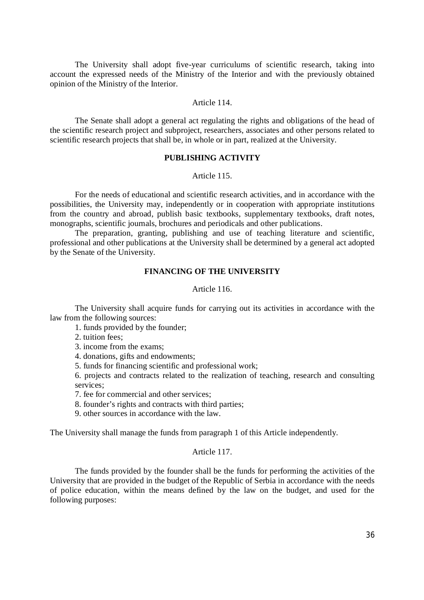The University shall adopt five-year curriculums of scientific research, taking into account the expressed needs of the Ministry of the Interior and with the previously obtained opinion of the Ministry of the Interior.

## Article 114.

The Senate shall adopt a general act regulating the rights and obligations of the head of the scientific research project and subproject, researchers, associates and other persons related to scientific research projects that shall be, in whole or in part, realized at the University.

# **PUBLISHING ACTIVITY**

### Article 115.

For the needs of educational and scientific research activities, and in accordance with the possibilities, the University may, independently or in cooperation with appropriate institutions from the country and abroad, publish basic textbooks, supplementary textbooks, draft notes, monographs, scientific journals, brochures and periodicals and other publications.

The preparation, granting, publishing and use of teaching literature and scientific, professional and other publications at the University shall be determined by a general act adopted by the Senate of the University.

# **FINANCING OF THE UNIVERSITY**

### Article 116.

The University shall acquire funds for carrying out its activities in accordance with the law from the following sources:

- 1. funds provided by the founder;
- 2. tuition fees;
- 3. income from the exams;
- 4. donations, gifts and endowments;
- 5. funds for financing scientific and professional work;

6. projects and contracts related to the realization of teaching, research and consulting services;

- 7. fee for commercial and other services;
- 8. founder's rights and contracts with third parties;
- 9. other sources in accordance with the law.

The University shall manage the funds from paragraph 1 of this Article independently.

## Article 117.

The funds provided by the founder shall be the funds for performing the activities of the University that are provided in the budget of the Republic of Serbia in accordance with the needs of police education, within the means defined by the law on the budget, and used for the following purposes: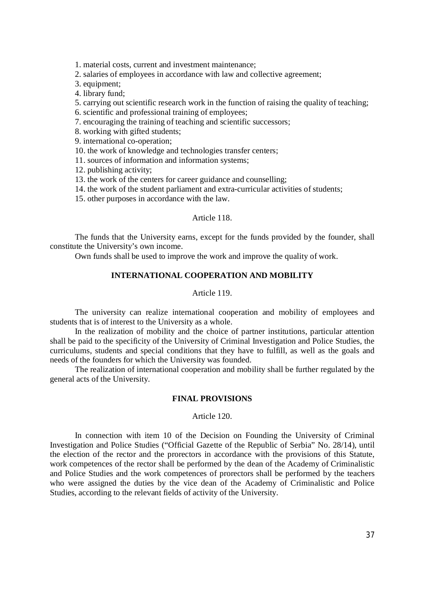1. material costs, current and investment maintenance;

2. salaries of employees in accordance with law and collective agreement;

3. equipment;

4. library fund;

5. carrying out scientific research work in the function of raising the quality of teaching;

- 6. scientific and professional training of employees;
- 7. encouraging the training of teaching and scientific successors;

8. working with gifted students;

9. international co-operation;

10. the work of knowledge and technologies transfer centers;

11. sources of information and information systems;

12. publishing activity;

13. the work of the centers for career guidance and counselling;

14. the work of the student parliament and extra-curricular activities of students;

15. other purposes in accordance with the law.

### Article 118.

The funds that the University earns, except for the funds provided by the founder, shall constitute the University's own income.

Own funds shall be used to improve the work and improve the quality of work.

# **INTERNATIONAL COOPERATION AND MOBILITY**

# Article 119.

The university can realize international cooperation and mobility of employees and students that is of interest to the University as a whole.

In the realization of mobility and the choice of partner institutions, particular attention shall be paid to the specificity of the University of Criminal Investigation and Police Studies, the curriculums, students and special conditions that they have to fulfill, as well as the goals and needs of the founders for which the University was founded.

The realization of international cooperation and mobility shall be further regulated by the general acts of the University.

### **FINAL PROVISIONS**

## Article 120.

In connection with item 10 of the Decision on Founding the University of Criminal Investigation and Police Studies ("Official Gazette of the Republic of Serbia" No. 28/14), until the election of the rector and the prorectors in accordance with the provisions of this Statute, work competences of the rector shall be performed by the dean of the Academy of Criminalistic and Police Studies and the work competences of prorectors shall be performed by the teachers who were assigned the duties by the vice dean of the Academy of Criminalistic and Police Studies, according to the relevant fields of activity of the University.